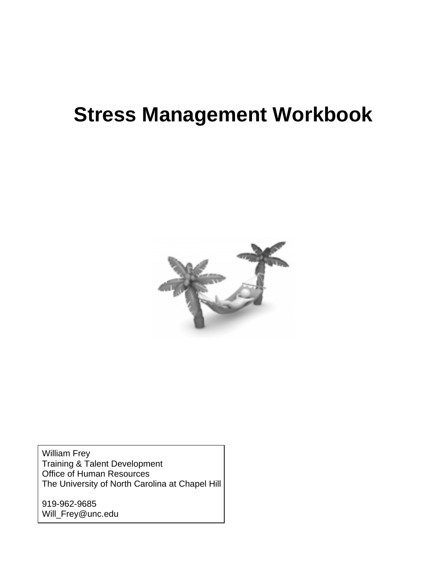# **Stress Management Workbook**



William Frey Training & Talent Development Office of Human Resources The University of North Carolina at Chapel Hill

919-962-9685 [Will\\_Frey@unc.edu](mailto:Will_Frey@unc.edu)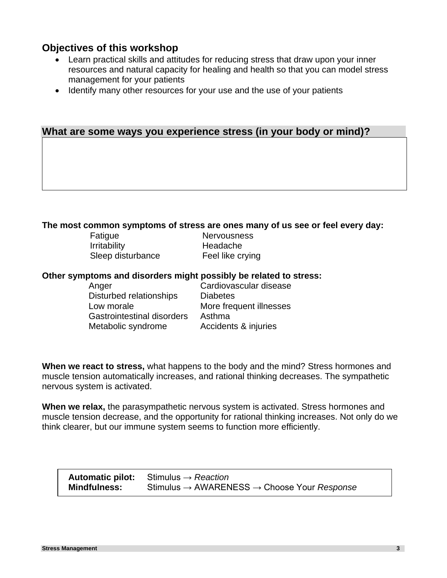# **Objectives of this workshop**

- Learn practical skills and attitudes for reducing stress that draw upon your inner resources and natural capacity for healing and health so that you can model stress management for your patients
- Identify many other resources for your use and the use of your patients

# **What are some ways you experience stress (in your body or mind)?**

### **The most common symptoms of stress are ones many of us see or feel every day:**

Fatigue Nervousness Irritability Headache Sleep disturbance Feel like crying

## **Other symptoms and disorders might possibly be related to stress:**

| Cardiovascular disease  |
|-------------------------|
| <b>Diabetes</b>         |
| More frequent illnesses |
| Asthma                  |
| Accidents & injuries    |
|                         |

**When we react to stress,** what happens to the body and the mind? Stress hormones and muscle tension automatically increases, and rational thinking decreases. The sympathetic nervous system is activated.

**When we relax,** the parasympathetic nervous system is activated. Stress hormones and muscle tension decrease, and the opportunity for rational thinking increases. Not only do we think clearer, but our immune system seems to function more efficiently.

|                     | <b>Automatic pilot:</b> Stimulus $\rightarrow$ Reaction             |
|---------------------|---------------------------------------------------------------------|
| <b>Mindfulness:</b> | Stimulus $\rightarrow$ AWARENESS $\rightarrow$ Choose Your Response |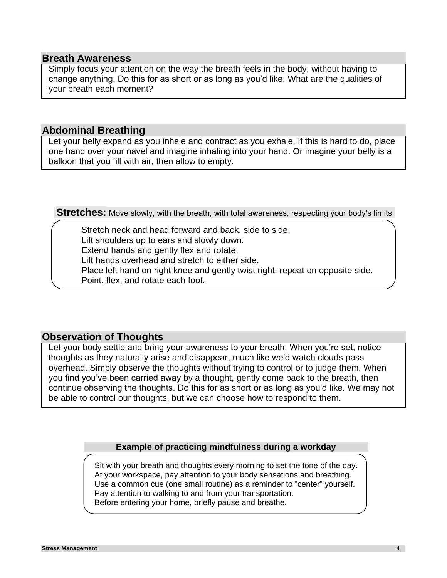# **Breath Awareness**

Simply focus your attention on the way the breath feels in the body, without having to change anything. Do this for as short or as long as you'd like. What are the qualities of your breath each moment?

# **Abdominal Breathing**

Let your belly expand as you inhale and contract as you exhale. If this is hard to do, place one hand over your navel and imagine inhaling into your hand. Or imagine your belly is a balloon that you fill with air, then allow to empty.

**Stretches:** Move slowly, with the breath, with total awareness, respecting your body's limits

Stretch neck and head forward and back, side to side. Lift shoulders up to ears and slowly down. Extend hands and gently flex and rotate. Lift hands overhead and stretch to either side. Place left hand on right knee and gently twist right; repeat on opposite side. Point, flex, and rotate each foot.

# **Observation of Thoughts**

Let your body settle and bring your awareness to your breath. When you're set, notice thoughts as they naturally arise and disappear, much like we'd watch clouds pass overhead. Simply observe the thoughts without trying to control or to judge them. When you find you've been carried away by a thought, gently come back to the breath, then continue observing the thoughts. Do this for as short or as long as you'd like. We may not be able to control our thoughts, but we can choose how to respond to them.

### **Example of practicing mindfulness during a workday**

Sit with your breath and thoughts every morning to set the tone of the day. At your workspace, pay attention to your body sensations and breathing. Use a common cue (one small routine) as a reminder to "center" yourself. Pay attention to walking to and from your transportation. Before entering your home, briefly pause and breathe.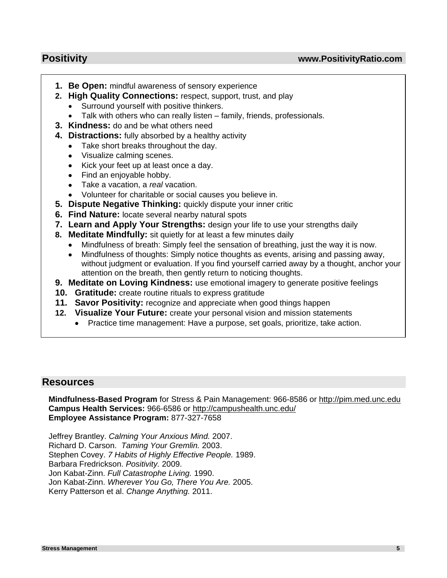- **1. Be Open:** mindful awareness of sensory experience
- **2. High Quality Connections:** respect, support, trust, and play
	- Surround yourself with positive thinkers.
	- Talk with others who can really listen family, friends, professionals.
- **3. Kindness:** do and be what others need
- **4. Distractions:** fully absorbed by a healthy activity
	- Take short breaks throughout the day.
	- Visualize calming scenes.
	- Kick your feet up at least once a day.
	- Find an enjoyable hobby.
	- Take a vacation, a *real* vacation.
	- Volunteer for charitable or social causes you believe in.
- **5. Dispute Negative Thinking:** quickly dispute your inner critic
- **6. Find Nature:** locate several nearby natural spots
- **7. Learn and Apply Your Strengths:** design your life to use your strengths daily
- **8. Meditate Mindfully:** sit quietly for at least a few minutes daily
	- Mindfulness of breath: Simply feel the sensation of breathing, just the way it is now.
	- Mindfulness of thoughts: Simply notice thoughts as events, arising and passing away, without judgment or evaluation. If you find yourself carried away by a thought, anchor your attention on the breath, then gently return to noticing thoughts.
- **9. Meditate on Loving Kindness:** use emotional imagery to generate positive feelings
- **10. Gratitude:** create routine rituals to express gratitude
- **11. Savor Positivity:** recognize and appreciate when good things happen
- **12. Visualize Your Future:** create your personal vision and mission statements
	- Practice time management: Have a purpose, set goals, prioritize, take action.

# **Resources**

**Mindfulness-Based Program** for Stress & Pain Management: 966-8586 or http://pim.med.unc.edu **Campus Health Services:** 966-6586 or http://campushealth.unc.edu/ **Employee Assistance Program:** 877-327-7658

Jeffrey Brantley. *Calming Your Anxious Mind.* 2007. Richard D. Carson. *Taming Your Gremlin.* 2003. Stephen Covey. *7 Habits of Highly Effective People.* 1989. Barbara Fredrickson. *Positivity.* 2009. Jon Kabat-Zinn. *Full Catastrophe Living.* 1990. Jon Kabat-Zinn. *Wherever You Go, There You Are.* 2005. Kerry Patterson et al. *Change Anything.* 2011.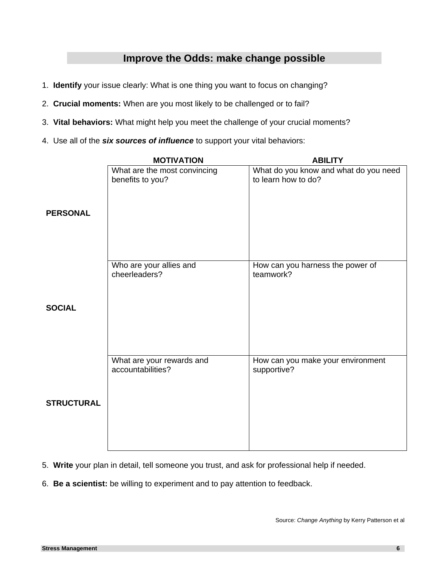# **Improve the Odds: make change possible**

- 1. **Identify** your issue clearly: What is one thing you want to focus on changing?
- 2. **Crucial moments:** When are you most likely to be challenged or to fail?
- 3. **Vital behaviors:** What might help you meet the challenge of your crucial moments?
- 4. Use all of the *six sources of influence* to support your vital behaviors:

|                   | <b>MOTIVATION</b>                                | <b>ABILITY</b>                                               |
|-------------------|--------------------------------------------------|--------------------------------------------------------------|
| <b>PERSONAL</b>   | What are the most convincing<br>benefits to you? | What do you know and what do you need<br>to learn how to do? |
|                   |                                                  |                                                              |
|                   | Who are your allies and<br>cheerleaders?         | How can you harness the power of<br>teamwork?                |
| <b>SOCIAL</b>     |                                                  |                                                              |
|                   | What are your rewards and<br>accountabilities?   | How can you make your environment<br>supportive?             |
| <b>STRUCTURAL</b> |                                                  |                                                              |

- 5. **Write** your plan in detail, tell someone you trust, and ask for professional help if needed.
- 6. **Be a scientist:** be willing to experiment and to pay attention to feedback.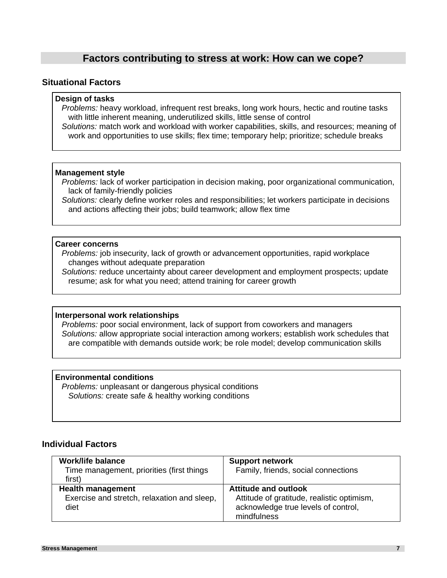# **Factors contributing to stress at work: How can we cope?**

#### **Situational Factors**

#### **Design of tasks**

*Problems:* heavy workload, infrequent rest breaks, long work hours, hectic and routine tasks with little inherent meaning, underutilized skills, little sense of control

*Solutions:* match work and workload with worker capabilities, skills, and resources; meaning of work and opportunities to use skills; flex time; temporary help; prioritize; schedule breaks

#### **Management style**

*Problems:* lack of worker participation in decision making, poor organizational communication, lack of family-friendly policies

*Solutions:* clearly define worker roles and responsibilities; let workers participate in decisions and actions affecting their jobs; build teamwork; allow flex time

#### **Career concerns**

*Problems:* job insecurity, lack of growth or advancement opportunities, rapid workplace changes without adequate preparation

*Solutions:* reduce uncertainty about career development and employment prospects; update resume; ask for what you need; attend training for career growth

#### **Interpersonal work relationships**

*Problems:* poor social environment, lack of support from coworkers and managers *Solutions:* allow appropriate social interaction among workers; establish work schedules that are compatible with demands outside work; be role model; develop communication skills

### **Environmental conditions**

*Problems:* unpleasant or dangerous physical conditions *Solutions:* create safe & healthy working conditions

#### **Individual Factors**

| Work/life balance                           | <b>Support network</b>                     |
|---------------------------------------------|--------------------------------------------|
| Time management, priorities (first things   | Family, friends, social connections        |
| first)                                      |                                            |
| <b>Health management</b>                    | <b>Attitude and outlook</b>                |
| Exercise and stretch, relaxation and sleep, | Attitude of gratitude, realistic optimism, |
| diet                                        | acknowledge true levels of control,        |
|                                             | mindfulness                                |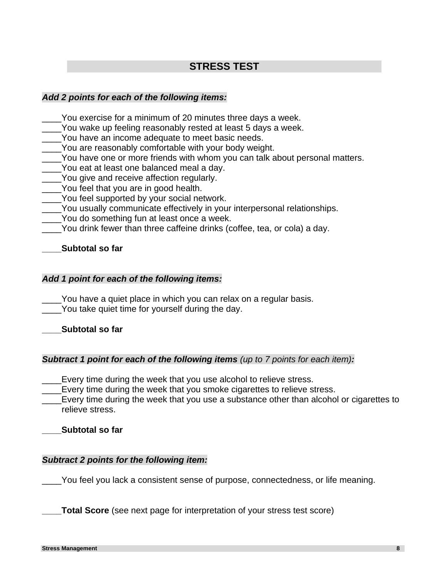# **STRESS TEST**

# *Add 2 points for each of the following items:*

- You exercise for a minimum of 20 minutes three days a week.
- You wake up feeling reasonably rested at least 5 days a week.
- You have an income adequate to meet basic needs.
- \_\_\_\_You are reasonably comfortable with your body weight.
- You have one or more friends with whom you can talk about personal matters.
- \_\_\_\_You eat at least one balanced meal a day.
- \_\_\_\_You give and receive affection regularly.
- \_\_\_\_You feel that you are in good health.
- \_\_\_\_You feel supported by your social network.
- \_\_\_\_You usually communicate effectively in your interpersonal relationships.
- You do something fun at least once a week.
- You drink fewer than three caffeine drinks (coffee, tea, or cola) a day.

# **\_\_\_\_Subtotal so far**

# *Add 1 point for each of the following items:*

\_\_\_\_You have a quiet place in which you can relax on a regular basis. You take quiet time for yourself during the day.

**\_\_\_\_Subtotal so far**

### *Subtract 1 point for each of the following items (up to 7 points for each item):*

\_\_\_\_Every time during the week that you use alcohol to relieve stress.

\_\_\_\_Every time during the week that you smoke cigarettes to relieve stress.

\_\_\_\_Every time during the week that you use a substance other than alcohol or cigarettes to relieve stress.

**\_\_\_\_Subtotal so far**

# *Subtract 2 points for the following item:*

\_\_\_\_You feel you lack a consistent sense of purpose, connectedness, or life meaning.

**Total Score** (see next page for interpretation of your stress test score)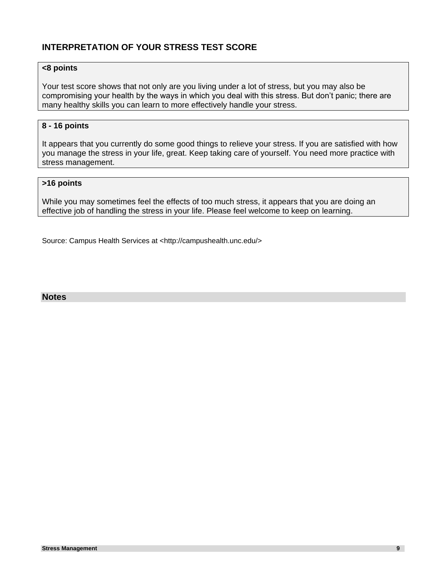# **INTERPRETATION OF YOUR STRESS TEST SCORE**

#### **<8 points**

Your test score shows that not only are you living under a lot of stress, but you may also be compromising your health by the ways in which you deal with this stress. But don't panic; there are many healthy skills you can learn to more effectively handle your stress.

#### **8 - 16 points**

It appears that you currently do some good things to relieve your stress. If you are satisfied with how you manage the stress in your life, great. Keep taking care of yourself. You need more practice with stress management.

#### **>16 points**

While you may sometimes feel the effects of too much stress, it appears that you are doing an effective job of handling the stress in your life. Please feel welcome to keep on learning.

Source: Campus Health Services at [<http://campushealth.unc.edu/>](http://campushealth.unc.edu/index.php?option=com_frontpage&Itemid=1)

#### **Notes**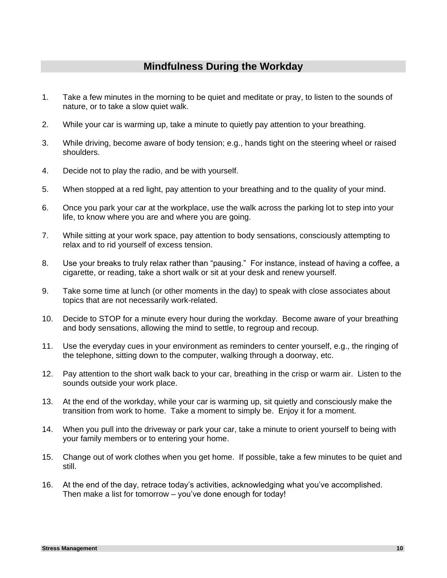# **Mindfulness During the Workday**

- 1. Take a few minutes in the morning to be quiet and meditate or pray, to listen to the sounds of nature, or to take a slow quiet walk.
- 2. While your car is warming up, take a minute to quietly pay attention to your breathing.
- 3. While driving, become aware of body tension; e.g., hands tight on the steering wheel or raised shoulders.
- 4. Decide not to play the radio, and be with yourself.
- 5. When stopped at a red light, pay attention to your breathing and to the quality of your mind.
- 6. Once you park your car at the workplace, use the walk across the parking lot to step into your life, to know where you are and where you are going.
- 7. While sitting at your work space, pay attention to body sensations, consciously attempting to relax and to rid yourself of excess tension.
- 8. Use your breaks to truly relax rather than "pausing." For instance, instead of having a coffee, a cigarette, or reading, take a short walk or sit at your desk and renew yourself.
- 9. Take some time at lunch (or other moments in the day) to speak with close associates about topics that are not necessarily work-related.
- 10. Decide to STOP for a minute every hour during the workday. Become aware of your breathing and body sensations, allowing the mind to settle, to regroup and recoup.
- 11. Use the everyday cues in your environment as reminders to center yourself, e.g., the ringing of the telephone, sitting down to the computer, walking through a doorway, etc.
- 12. Pay attention to the short walk back to your car, breathing in the crisp or warm air. Listen to the sounds outside your work place.
- 13. At the end of the workday, while your car is warming up, sit quietly and consciously make the transition from work to home. Take a moment to simply be. Enjoy it for a moment.
- 14. When you pull into the driveway or park your car, take a minute to orient yourself to being with your family members or to entering your home.
- 15. Change out of work clothes when you get home. If possible, take a few minutes to be quiet and still.
- 16. At the end of the day, retrace today's activities, acknowledging what you've accomplished. Then make a list for tomorrow – you've done enough for today!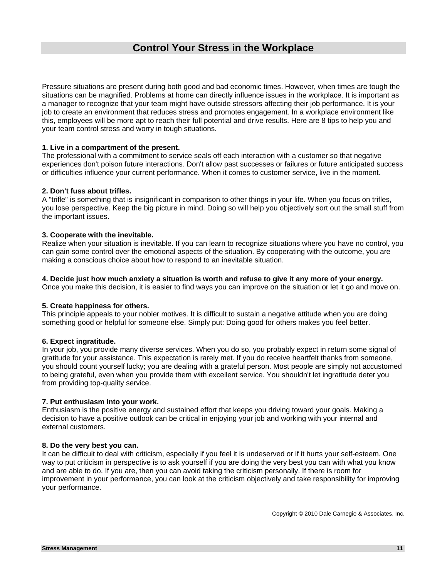# **Control Your Stress in the Workplace**

Pressure situations are present during both good and bad economic times. However, when times are tough the situations can be magnified. Problems at home can directly influence issues in the workplace. It is important as a manager to recognize that your team might have outside stressors affecting their job performance. It is your job to create an environment that reduces stress and promotes engagement. In a workplace environment like this, employees will be more apt to reach their full potential and drive results. Here are 8 tips to help you and your team control stress and worry in tough situations.

#### **1. Live in a compartment of the present.**

The professional with a commitment to service seals off each interaction with a customer so that negative experiences don't poison future interactions. Don't allow past successes or failures or future anticipated success or difficulties influence your current performance. When it comes to customer service, live in the moment.

#### **2. Don't fuss about trifles.**

A "trifle" is something that is insignificant in comparison to other things in your life. When you focus on trifles, you lose perspective. Keep the big picture in mind. Doing so will help you objectively sort out the small stuff from the important issues.

#### **3. Cooperate with the inevitable.**

Realize when your situation is inevitable. If you can learn to recognize situations where you have no control, you can gain some control over the emotional aspects of the situation. By cooperating with the outcome, you are making a conscious choice about how to respond to an inevitable situation.

#### **4. Decide just how much anxiety a situation is worth and refuse to give it any more of your energy.**

Once you make this decision, it is easier to find ways you can improve on the situation or let it go and move on.

#### **5. Create happiness for others.**

This principle appeals to your nobler motives. It is difficult to sustain a negative attitude when you are doing something good or helpful for someone else. Simply put: Doing good for others makes you feel better.

#### **6. Expect ingratitude.**

In your job, you provide many diverse services. When you do so, you probably expect in return some signal of gratitude for your assistance. This expectation is rarely met. If you do receive heartfelt thanks from someone, you should count yourself lucky; you are dealing with a grateful person. Most people are simply not accustomed to being grateful, even when you provide them with excellent service. You shouldn't let ingratitude deter you from providing top-quality service.

#### **7. Put enthusiasm into your work.**

Enthusiasm is the positive energy and sustained effort that keeps you driving toward your goals. Making a decision to have a positive outlook can be critical in enjoying your job and working with your internal and external customers.

#### **8. Do the very best you can.**

It can be difficult to deal with criticism, especially if you feel it is undeserved or if it hurts your self-esteem. One way to put criticism in perspective is to ask yourself if you are doing the very best you can with what you know and are able to do. If you are, then you can avoid taking the criticism personally. If there is room for improvement in your performance, you can look at the criticism objectively and take responsibility for improving your performance.

Copyright © 2010 Dale Carnegie & Associates, Inc.